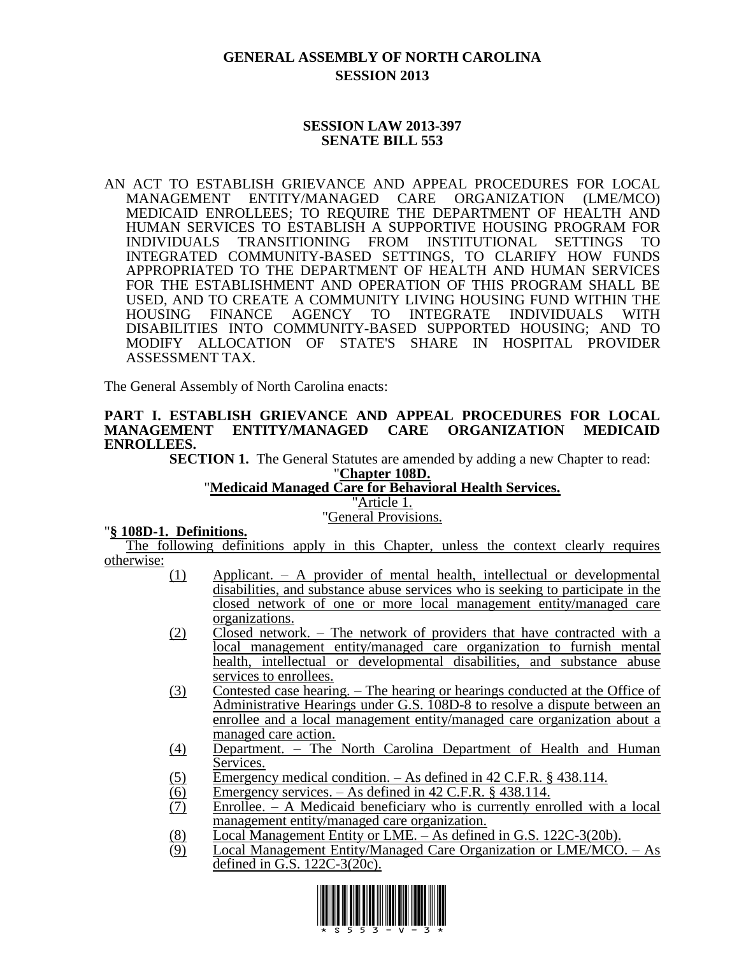# **GENERAL ASSEMBLY OF NORTH CAROLINA SESSION 2013**

### **SESSION LAW 2013-397 SENATE BILL 553**

AN ACT TO ESTABLISH GRIEVANCE AND APPEAL PROCEDURES FOR LOCAL MANAGEMENT ENTITY/MANAGED CARE ORGANIZATION (LME/MCO) MEDICAID ENROLLEES; TO REQUIRE THE DEPARTMENT OF HEALTH AND HUMAN SERVICES TO ESTABLISH A SUPPORTIVE HOUSING PROGRAM FOR INDIVIDUALS TRANSITIONING FROM INSTITUTIONAL SETTINGS TO INTEGRATED COMMUNITY-BASED SETTINGS, TO CLARIFY HOW FUNDS APPROPRIATED TO THE DEPARTMENT OF HEALTH AND HUMAN SERVICES FOR THE ESTABLISHMENT AND OPERATION OF THIS PROGRAM SHALL BE USED, AND TO CREATE A COMMUNITY LIVING HOUSING FUND WITHIN THE HOUSING FINANCE AGENCY TO INTEGRATE INDIVIDUALS WITH DISABILITIES INTO COMMUNITY-BASED SUPPORTED HOUSING; AND TO MODIFY ALLOCATION OF STATE'S SHARE IN HOSPITAL PROVIDER ASSESSMENT TAX.

The General Assembly of North Carolina enacts:

#### **PART I. ESTABLISH GRIEVANCE AND APPEAL PROCEDURES FOR LOCAL MANAGEMENT ENTITY/MANAGED CARE ORGANIZATION MEDICAID ENROLLEES.**

**SECTION 1.** The General Statutes are amended by adding a new Chapter to read:

"**Chapter 108D.**

## "**Medicaid Managed Care for Behavioral Health Services.**

"Article 1.

### "General Provisions.

#### "**§ 108D-1. Definitions.**

The following definitions apply in this Chapter, unless the context clearly requires otherwise:

- (1) Applicant. A provider of mental health, intellectual or developmental disabilities, and substance abuse services who is seeking to participate in the closed network of one or more local management entity/managed care organizations.
- (2) Closed network. The network of providers that have contracted with a local management entity/managed care organization to furnish mental health, intellectual or developmental disabilities, and substance abuse services to enrollees.
- (3) Contested case hearing. The hearing or hearings conducted at the Office of Administrative Hearings under G.S. 108D-8 to resolve a dispute between an enrollee and a local management entity/managed care organization about a managed care action.
- (4) Department. The North Carolina Department of Health and Human Services.
- $(5)$  Emergency medical condition. As defined in 42 C.F.R. § 438.114.
- (6) Emergency services. As defined in 42 C.F.R. § 438.114.<br>(7) Enrollee. A Medicaid beneficiary who is currently enr
- Enrollee.  $-$  A Medicaid beneficiary who is currently enrolled with a local management entity/managed care organization.
- (8) Local Management Entity or LME. As defined in G.S. 122C-3(20b).<br>(9) Local Management Entity/Managed Care Organization or LME/MCO
- Local Management Entity/Managed Care Organization or LME/MCO. As defined in G.S. 122C-3(20c).

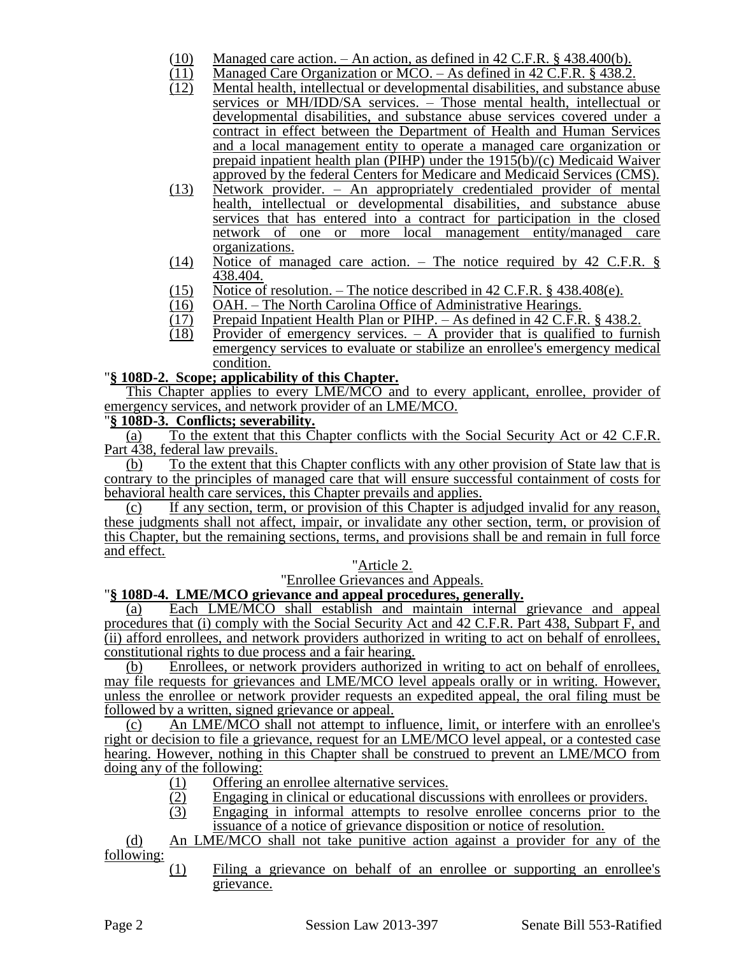- (10) Managed care action. An action, as defined in  $42$  C.F.R. §  $438.400(b)$ .<br>(11) Managed Care Organization or MCO. As defined in  $42$  C.F.R. §  $438.2$
- (11) Managed Care Organization or MCO. As defined in 42 C.F.R. § 438.2.<br>(12) Mental health, intellectual or developmental disabilities, and substance al
- Mental health, intellectual or developmental disabilities, and substance abuse services or MH/IDD/SA services. – Those mental health, intellectual or developmental disabilities, and substance abuse services covered under a contract in effect between the Department of Health and Human Services and a local management entity to operate a managed care organization or prepaid inpatient health plan (PIHP) under the 1915(b)/(c) Medicaid Waiver approved by the federal Centers for Medicare and Medicaid Services (CMS).
- (13) Network provider. An appropriately credentialed provider of mental health, intellectual or developmental disabilities, and substance abuse services that has entered into a contract for participation in the closed network of one or more local management entity/managed care organizations.
- (14) Notice of managed care action. The notice required by 42 C.F.R. § 438.404.
- (15) Notice of resolution. The notice described in 42 C.F.R. § 438.408(e).<br>(16) OAH. The North Carolina Office of Administrative Hearings.
- OAH. The North Carolina Office of Administrative Hearings.
- (17) Prepaid Inpatient Health Plan or PIHP. As defined in 42 C.F.R. § 438.2.
- (18) Provider of emergency services. A provider that is qualified to furnish emergency services to evaluate or stabilize an enrollee's emergency medical condition.

## "**§ 108D-2. Scope; applicability of this Chapter.**

This Chapter applies to every LME/MCO and to every applicant, enrollee, provider of emergency services, and network provider of an LME/MCO.

### "**§ 108D-3. Conflicts; severability.**

(a) To the extent that this Chapter conflicts with the Social Security Act or 42 C.F.R. Part 438, federal law prevails.

(b) To the extent that this Chapter conflicts with any other provision of State law that is contrary to the principles of managed care that will ensure successful containment of costs for behavioral health care services, this Chapter prevails and applies.

(c) If any section, term, or provision of this Chapter is adjudged invalid for any reason, these judgments shall not affect, impair, or invalidate any other section, term, or provision of this Chapter, but the remaining sections, terms, and provisions shall be and remain in full force and effect.

#### "Article 2.

"Enrollee Grievances and Appeals.

## "**§ 108D-4. LME/MCO grievance and appeal procedures, generally.**

(a) Each LME/MCO shall establish and maintain internal grievance and appeal procedures that (i) comply with the Social Security Act and 42 C.F.R. Part 438, Subpart F, and (ii) afford enrollees, and network providers authorized in writing to act on behalf of enrollees, constitutional rights to due process and a fair hearing.

(b) Enrollees, or network providers authorized in writing to act on behalf of enrollees, may file requests for grievances and LME/MCO level appeals orally or in writing. However, unless the enrollee or network provider requests an expedited appeal, the oral filing must be followed by a written, signed grievance or appeal.

(c) An LME/MCO shall not attempt to influence, limit, or interfere with an enrollee's right or decision to file a grievance, request for an LME/MCO level appeal, or a contested case hearing. However, nothing in this Chapter shall be construed to prevent an LME/MCO from doing any of the following:

- (1) Offering an enrollee alternative services.
- (2) Engaging in clinical or educational discussions with enrollees or providers.
- (3) Engaging in informal attempts to resolve enrollee concerns prior to the issuance of a notice of grievance disposition or notice of resolution.

(d) An LME/MCO shall not take punitive action against a provider for any of the following:

(1) Filing a grievance on behalf of an enrollee or supporting an enrollee's grievance.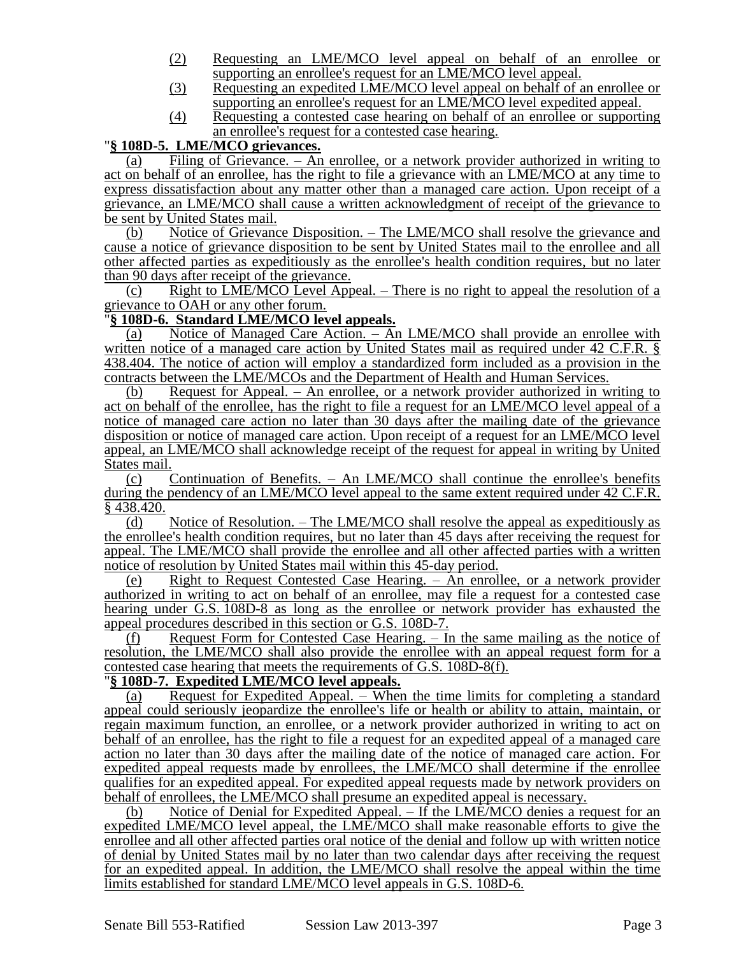- (2) Requesting an LME/MCO level appeal on behalf of an enrollee or supporting an enrollee's request for an LME/MCO level appeal.
- (3) Requesting an expedited LME/MCO level appeal on behalf of an enrollee or supporting an enrollee's request for an LME/MCO level expedited appeal.
- (4) Requesting a contested case hearing on behalf of an enrollee or supporting an enrollee's request for a contested case hearing.

# "**§ 108D-5. LME/MCO grievances.**

(a) Filing of Grievance.  $-$  An enrollee, or a network provider authorized in writing to act on behalf of an enrollee, has the right to file a grievance with an LME/MCO at any time to express dissatisfaction about any matter other than a managed care action. Upon receipt of a grievance, an LME/MCO shall cause a written acknowledgment of receipt of the grievance to be sent by United States mail.

(b) Notice of Grievance Disposition. – The LME/MCO shall resolve the grievance and cause a notice of grievance disposition to be sent by United States mail to the enrollee and all other affected parties as expeditiously as the enrollee's health condition requires, but no later than 90 days after receipt of the grievance.

(c) Right to LME/MCO Level Appeal. – There is no right to appeal the resolution of a grievance to OAH or any other forum.

## "**§ 108D-6. Standard LME/MCO level appeals.**

(a) Notice of Managed Care Action. – An LME/MCO shall provide an enrollee with written notice of a managed care action by United States mail as required under 42 C.F.R. § 438.404. The notice of action will employ a standardized form included as a provision in the contracts between the LME/MCOs and the Department of Health and Human Services.

(b) Request for Appeal. – An enrollee, or a network provider authorized in writing to act on behalf of the enrollee, has the right to file a request for an LME/MCO level appeal of a notice of managed care action no later than 30 days after the mailing date of the grievance disposition or notice of managed care action. Upon receipt of a request for an LME/MCO level appeal, an LME/MCO shall acknowledge receipt of the request for appeal in writing by United States mail.

(c) Continuation of Benefits. – An LME/MCO shall continue the enrollee's benefits during the pendency of an LME/MCO level appeal to the same extent required under 42 C.F.R. § 438.420.

(d) Notice of Resolution. – The LME/MCO shall resolve the appeal as expeditiously as the enrollee's health condition requires, but no later than 45 days after receiving the request for appeal. The LME/MCO shall provide the enrollee and all other affected parties with a written notice of resolution by United States mail within this 45-day period.

(e) Right to Request Contested Case Hearing. – An enrollee, or a network provider authorized in writing to act on behalf of an enrollee, may file a request for a contested case hearing under G.S. 108D-8 as long as the enrollee or network provider has exhausted the appeal procedures described in this section or G.S. 108D-7.

(f) Request Form for Contested Case Hearing. – In the same mailing as the notice of resolution, the LME/MCO shall also provide the enrollee with an appeal request form for a contested case hearing that meets the requirements of G.S. 108D-8(f).

## "**§ 108D-7. Expedited LME/MCO level appeals.**

(a) Request for Expedited Appeal. – When the time limits for completing a standard appeal could seriously jeopardize the enrollee's life or health or ability to attain, maintain, or regain maximum function, an enrollee, or a network provider authorized in writing to act on behalf of an enrollee, has the right to file a request for an expedited appeal of a managed care action no later than 30 days after the mailing date of the notice of managed care action. For expedited appeal requests made by enrollees, the LME/MCO shall determine if the enrollee qualifies for an expedited appeal. For expedited appeal requests made by network providers on behalf of enrollees, the LME/MCO shall presume an expedited appeal is necessary.

(b) Notice of Denial for Expedited Appeal. – If the LME/MCO denies a request for an expedited LME/MCO level appeal, the LME/MCO shall make reasonable efforts to give the enrollee and all other affected parties oral notice of the denial and follow up with written notice of denial by United States mail by no later than two calendar days after receiving the request for an expedited appeal. In addition, the LME/MCO shall resolve the appeal within the time limits established for standard LME/MCO level appeals in G.S. 108D-6.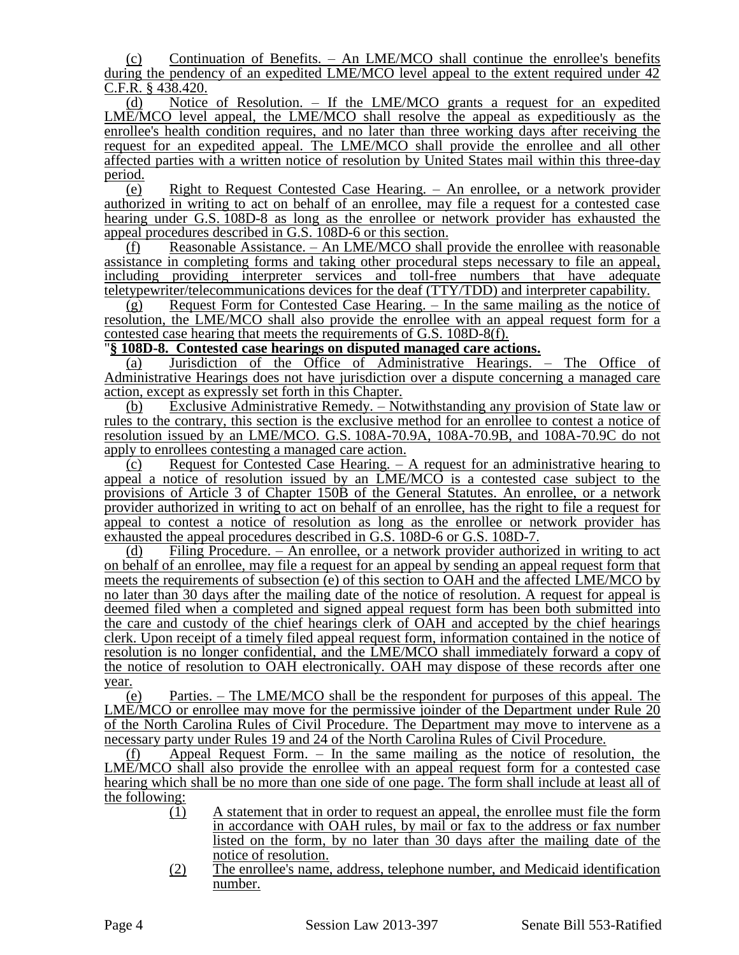(c) Continuation of Benefits. – An LME/MCO shall continue the enrollee's benefits during the pendency of an expedited LME/MCO level appeal to the extent required under 42 C.F.R. § 438.420.

(d) Notice of Resolution. – If the LME/MCO grants a request for an expedited LME/MCO level appeal, the LME/MCO shall resolve the appeal as expeditiously as the enrollee's health condition requires, and no later than three working days after receiving the request for an expedited appeal. The LME/MCO shall provide the enrollee and all other affected parties with a written notice of resolution by United States mail within this three-day period.

(e) Right to Request Contested Case Hearing. – An enrollee, or a network provider authorized in writing to act on behalf of an enrollee, may file a request for a contested case hearing under G.S. 108D-8 as long as the enrollee or network provider has exhausted the appeal procedures described in G.S. 108D-6 or this section.

(f) Reasonable Assistance. – An LME/MCO shall provide the enrollee with reasonable assistance in completing forms and taking other procedural steps necessary to file an appeal, including providing interpreter services and toll-free numbers that have adequate teletypewriter/telecommunications devices for the deaf (TTY/TDD) and interpreter capability.

 $(g)$  Request Form for Contested Case Hearing. – In the same mailing as the notice of resolution, the LME/MCO shall also provide the enrollee with an appeal request form for a contested case hearing that meets the requirements of G.S. 108D-8(f).

## "**§ 108D-8. Contested case hearings on disputed managed care actions.**

(a) Jurisdiction of the Office of Administrative Hearings. – The Office of Administrative Hearings does not have jurisdiction over a dispute concerning a managed care action, except as expressly set forth in this Chapter.

(b) Exclusive Administrative Remedy. – Notwithstanding any provision of State law or rules to the contrary, this section is the exclusive method for an enrollee to contest a notice of resolution issued by an LME/MCO. G.S. 108A-70.9A, 108A-70.9B, and 108A-70.9C do not apply to enrollees contesting a managed care action.

 $(c)$  Request for Contested Case Hearing. – A request for an administrative hearing to appeal a notice of resolution issued by an LME/MCO is a contested case subject to the provisions of Article 3 of Chapter 150B of the General Statutes. An enrollee, or a network provider authorized in writing to act on behalf of an enrollee, has the right to file a request for appeal to contest a notice of resolution as long as the enrollee or network provider has exhausted the appeal procedures described in G.S. 108D-6 or G.S. 108D-7.

(d) Filing Procedure. – An enrollee, or a network provider authorized in writing to act on behalf of an enrollee, may file a request for an appeal by sending an appeal request form that meets the requirements of subsection (e) of this section to OAH and the affected LME/MCO by no later than 30 days after the mailing date of the notice of resolution. A request for appeal is deemed filed when a completed and signed appeal request form has been both submitted into the care and custody of the chief hearings clerk of OAH and accepted by the chief hearings clerk. Upon receipt of a timely filed appeal request form, information contained in the notice of resolution is no longer confidential, and the LME/MCO shall immediately forward a copy of the notice of resolution to OAH electronically. OAH may dispose of these records after one year.

(e) Parties. – The LME/MCO shall be the respondent for purposes of this appeal. The LME/MCO or enrollee may move for the permissive joinder of the Department under Rule 20 of the North Carolina Rules of Civil Procedure. The Department may move to intervene as a necessary party under Rules 19 and 24 of the North Carolina Rules of Civil Procedure.

(f) Appeal Request Form. – In the same mailing as the notice of resolution, the LME/MCO shall also provide the enrollee with an appeal request form for a contested case hearing which shall be no more than one side of one page. The form shall include at least all of the following:

- (1) A statement that in order to request an appeal, the enrollee must file the form in accordance with OAH rules, by mail or fax to the address or fax number listed on the form, by no later than 30 days after the mailing date of the notice of resolution.
- (2) The enrollee's name, address, telephone number, and Medicaid identification number.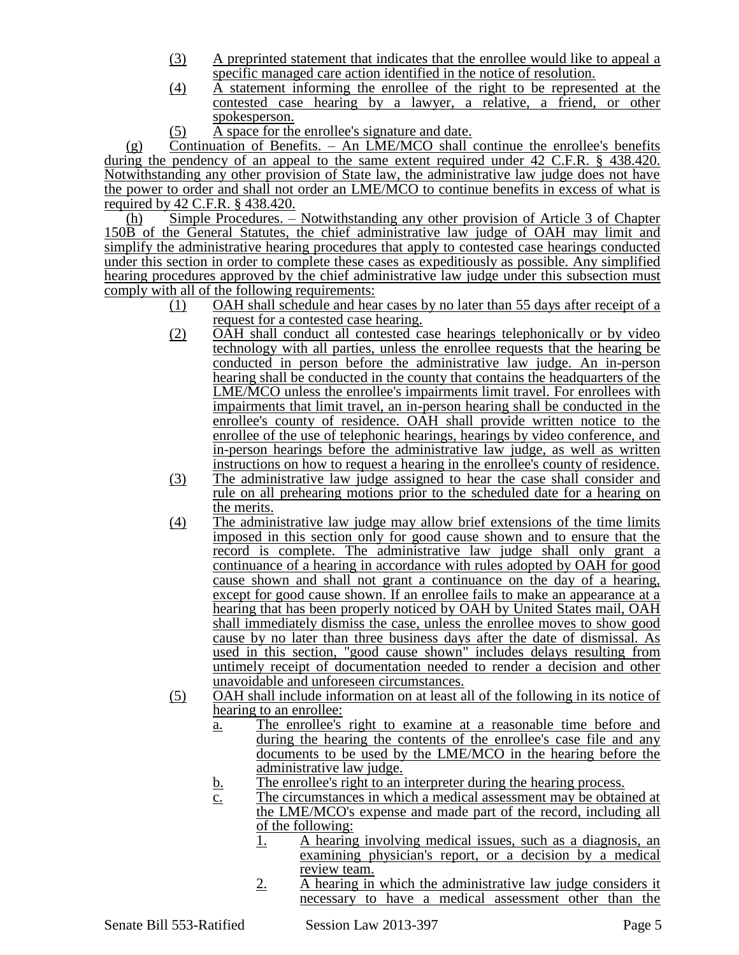- (3) A preprinted statement that indicates that the enrollee would like to appeal a specific managed care action identified in the notice of resolution.
- (4) A statement informing the enrollee of the right to be represented at the contested case hearing by a lawyer, a relative, a friend, or other spokesperson.
- (5) A space for the enrollee's signature and date.

(g) Continuation of Benefits. – An LME/MCO shall continue the enrollee's benefits during the pendency of an appeal to the same extent required under 42 C.F.R. § 438.420. Notwithstanding any other provision of State law, the administrative law judge does not have the power to order and shall not order an LME/MCO to continue benefits in excess of what is required by  $42$  C.F.R.  $\frac{8}{9}$  438.420.<br>(h) Simple Procedures. –

Simple Procedures. – Notwithstanding any other provision of Article 3 of Chapter 150B of the General Statutes, the chief administrative law judge of OAH may limit and simplify the administrative hearing procedures that apply to contested case hearings conducted under this section in order to complete these cases as expeditiously as possible. Any simplified hearing procedures approved by the chief administrative law judge under this subsection must comply with all of the following requirements:

- (1) OAH shall schedule and hear cases by no later than 55 days after receipt of a request for a contested case hearing.
- (2) OAH shall conduct all contested case hearings telephonically or by video technology with all parties, unless the enrollee requests that the hearing be conducted in person before the administrative law judge. An in-person hearing shall be conducted in the county that contains the headquarters of the LME/MCO unless the enrollee's impairments limit travel. For enrollees with impairments that limit travel, an in-person hearing shall be conducted in the enrollee's county of residence. OAH shall provide written notice to the enrollee of the use of telephonic hearings, hearings by video conference, and in-person hearings before the administrative law judge, as well as written instructions on how to request a hearing in the enrollee's county of residence.
- (3) The administrative law judge assigned to hear the case shall consider and rule on all prehearing motions prior to the scheduled date for a hearing on the merits.
- (4) The administrative law judge may allow brief extensions of the time limits imposed in this section only for good cause shown and to ensure that the record is complete. The administrative law judge shall only grant a continuance of a hearing in accordance with rules adopted by OAH for good cause shown and shall not grant a continuance on the day of a hearing, except for good cause shown. If an enrollee fails to make an appearance at a hearing that has been properly noticed by OAH by United States mail, OAH shall immediately dismiss the case, unless the enrollee moves to show good cause by no later than three business days after the date of dismissal. As used in this section, "good cause shown" includes delays resulting from untimely receipt of documentation needed to render a decision and other unavoidable and unforeseen circumstances.
- (5) OAH shall include information on at least all of the following in its notice of hearing to an enrollee:
	- a. The enrollee's right to examine at a reasonable time before and during the hearing the contents of the enrollee's case file and any documents to be used by the LME/MCO in the hearing before the administrative law judge.
	- b. The enrollee's right to an interpreter during the hearing process.
	- c. The circumstances in which a medical assessment may be obtained at the LME/MCO's expense and made part of the record, including all of the following:
		- 1. A hearing involving medical issues, such as a diagnosis, an examining physician's report, or a decision by a medical review team.
		- 2. A hearing in which the administrative law judge considers it necessary to have a medical assessment other than the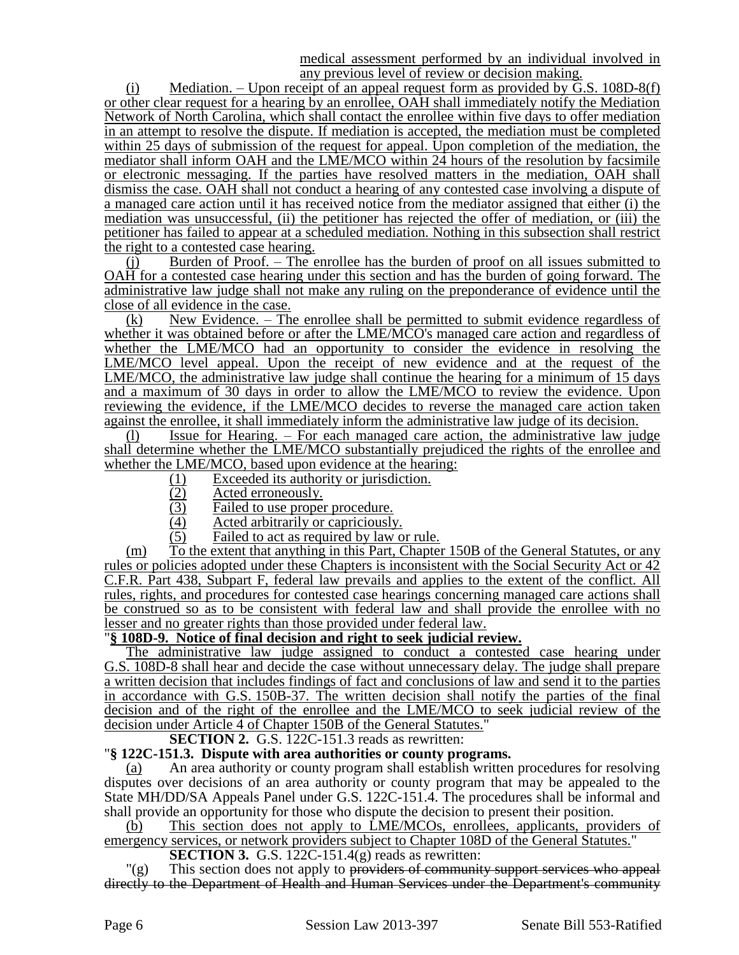medical assessment performed by an individual involved in any previous level of review or decision making.

(i) Mediation. – Upon receipt of an appeal request form as provided by  $\tilde{G}$ .S. 108D-8(f) or other clear request for a hearing by an enrollee, OAH shall immediately notify the Mediation Network of North Carolina, which shall contact the enrollee within five days to offer mediation in an attempt to resolve the dispute. If mediation is accepted, the mediation must be completed within 25 days of submission of the request for appeal. Upon completion of the mediation, the mediator shall inform OAH and the LME/MCO within 24 hours of the resolution by facsimile or electronic messaging. If the parties have resolved matters in the mediation, OAH shall dismiss the case. OAH shall not conduct a hearing of any contested case involving a dispute of a managed care action until it has received notice from the mediator assigned that either (i) the mediation was unsuccessful, (ii) the petitioner has rejected the offer of mediation, or (iii) the petitioner has failed to appear at a scheduled mediation. Nothing in this subsection shall restrict the right to a contested case hearing.

 $(i)$  Burden of Proof. – The enrollee has the burden of proof on all issues submitted to OAH for a contested case hearing under this section and has the burden of going forward. The administrative law judge shall not make any ruling on the preponderance of evidence until the close of all evidence in the case.

(k) New Evidence. – The enrollee shall be permitted to submit evidence regardless of whether it was obtained before or after the LME/MCO's managed care action and regardless of whether the LME/MCO had an opportunity to consider the evidence in resolving the LME/MCO level appeal. Upon the receipt of new evidence and at the request of the LME/MCO, the administrative law judge shall continue the hearing for a minimum of 15 days and a maximum of 30 days in order to allow the LME/MCO to review the evidence. Upon reviewing the evidence, if the LME/MCO decides to reverse the managed care action taken against the enrollee, it shall immediately inform the administrative law judge of its decision.

(l) Issue for Hearing. – For each managed care action, the administrative law judge shall determine whether the LME/MCO substantially prejudiced the rights of the enrollee and whether the LME/MCO, based upon evidence at the hearing:

- (1) Exceeded its authority or jurisdiction.<br>
(2) Acted erroneously.<br>
(3) Failed to use proper procedure.
- Acted erroneously.
- Failed to use proper procedure.
- $\frac{1}{10}$  Acted arbitrarily or capriciously.<br>  $\frac{1}{10}$  Failed to act as required by law o
- Failed to act as required by law or rule.

(m) To the extent that anything in this Part, Chapter 150B of the General Statutes, or any rules or policies adopted under these Chapters is inconsistent with the Social Security Act or 42 C.F.R. Part 438, Subpart F, federal law prevails and applies to the extent of the conflict. All rules, rights, and procedures for contested case hearings concerning managed care actions shall be construed so as to be consistent with federal law and shall provide the enrollee with no lesser and no greater rights than those provided under federal law.

## "**§ 108D-9. Notice of final decision and right to seek judicial review.**

The administrative law judge assigned to conduct a contested case hearing under G.S. 108D-8 shall hear and decide the case without unnecessary delay. The judge shall prepare a written decision that includes findings of fact and conclusions of law and send it to the parties in accordance with G.S. 150B-37. The written decision shall notify the parties of the final decision and of the right of the enrollee and the LME/MCO to seek judicial review of the decision under Article 4 of Chapter 150B of the General Statutes.

**SECTION 2.** G.S. 122C-151.3 reads as rewritten:

#### "**§ 122C-151.3. Dispute with area authorities or county programs.**

(a) An area authority or county program shall establish written procedures for resolving disputes over decisions of an area authority or county program that may be appealed to the State MH/DD/SA Appeals Panel under G.S. 122C-151.4. The procedures shall be informal and shall provide an opportunity for those who dispute the decision to present their position.

(b) This section does not apply to LME/MCOs, enrollees, applicants, providers of emergency services, or network providers subject to Chapter 108D of the General Statutes."

**SECTION 3.** G.S. 122C-151.4(g) reads as rewritten:

"(g) This section does not apply to providers of community support services who appeal directly to the Department of Health and Human Services under the Department's community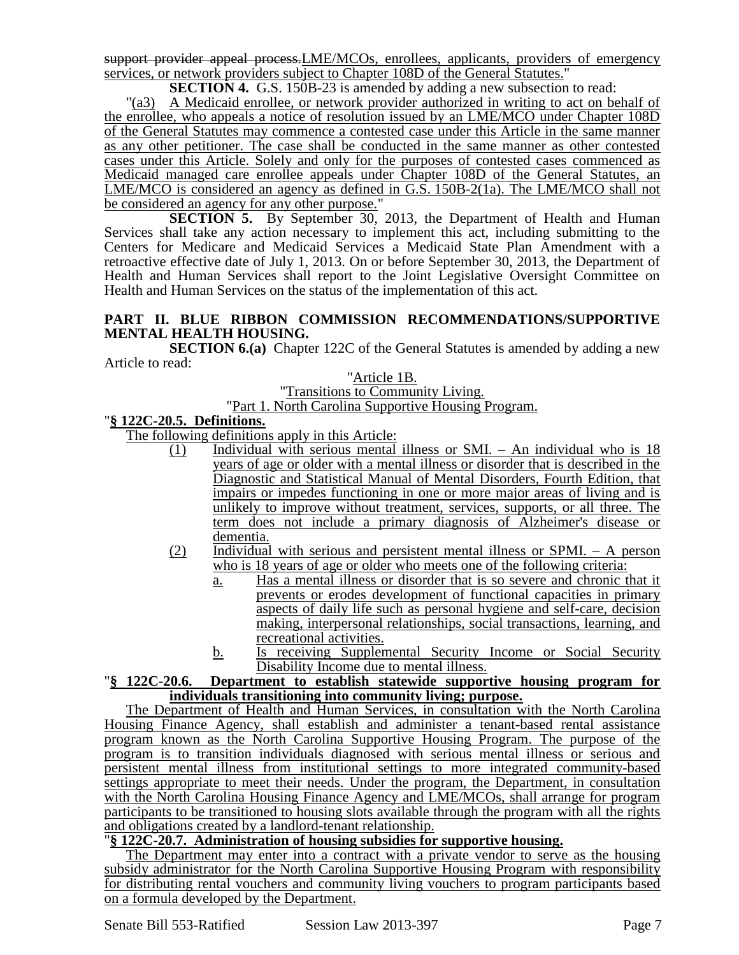support provider appeal process. LME/MCOs, enrollees, applicants, providers of emergency services, or network providers subject to Chapter 108D of the General Statutes."

**SECTION 4.** G.S. 150B-23 is amended by adding a new subsection to read:

"(a3) A Medicaid enrollee, or network provider authorized in writing to act on behalf of the enrollee, who appeals a notice of resolution issued by an LME/MCO under Chapter 108D of the General Statutes may commence a contested case under this Article in the same manner as any other petitioner. The case shall be conducted in the same manner as other contested cases under this Article. Solely and only for the purposes of contested cases commenced as Medicaid managed care enrollee appeals under Chapter 108D of the General Statutes, an LME/MCO is considered an agency as defined in G.S. 150B-2(1a). The LME/MCO shall not be considered an agency for any other purpose."

**SECTION 5.** By September 30, 2013, the Department of Health and Human Services shall take any action necessary to implement this act, including submitting to the Centers for Medicare and Medicaid Services a Medicaid State Plan Amendment with a retroactive effective date of July 1, 2013. On or before September 30, 2013, the Department of Health and Human Services shall report to the Joint Legislative Oversight Committee on Health and Human Services on the status of the implementation of this act.

#### **PART II. BLUE RIBBON COMMISSION RECOMMENDATIONS/SUPPORTIVE MENTAL HEALTH HOUSING.**

**SECTION 6.(a)** Chapter 122C of the General Statutes is amended by adding a new Article to read:

"Article 1B.

"Transitions to Community Living.

#### "Part 1. North Carolina Supportive Housing Program.

### "**§ 122C-20.5. Definitions.**

The following definitions apply in this Article:

- (1) Individual with serious mental illness or SMI. An individual who is 18 years of age or older with a mental illness or disorder that is described in the Diagnostic and Statistical Manual of Mental Disorders, Fourth Edition, that impairs or impedes functioning in one or more major areas of living and is unlikely to improve without treatment, services, supports, or all three. The term does not include a primary diagnosis of Alzheimer's disease or dementia.
- (2) Individual with serious and persistent mental illness or SPMI. A person who is 18 years of age or older who meets one of the following criteria:
	- a. Has a mental illness or disorder that is so severe and chronic that it prevents or erodes development of functional capacities in primary aspects of daily life such as personal hygiene and self-care, decision making, interpersonal relationships, social transactions, learning, and recreational activities.
	- b. Is receiving Supplemental Security Income or Social Security Disability Income due to mental illness.

#### "**§ 122C-20.6. Department to establish statewide supportive housing program for individuals transitioning into community living; purpose.**

The Department of Health and Human Services, in consultation with the North Carolina Housing Finance Agency, shall establish and administer a tenant-based rental assistance program known as the North Carolina Supportive Housing Program. The purpose of the program is to transition individuals diagnosed with serious mental illness or serious and persistent mental illness from institutional settings to more integrated community-based settings appropriate to meet their needs. Under the program, the Department, in consultation with the North Carolina Housing Finance Agency and LME/MCOs, shall arrange for program participants to be transitioned to housing slots available through the program with all the rights and obligations created by a landlord-tenant relationship.

#### "**§ 122C-20.7. Administration of housing subsidies for supportive housing.**

The Department may enter into a contract with a private vendor to serve as the housing subsidy administrator for the North Carolina Supportive Housing Program with responsibility for distributing rental vouchers and community living vouchers to program participants based on a formula developed by the Department.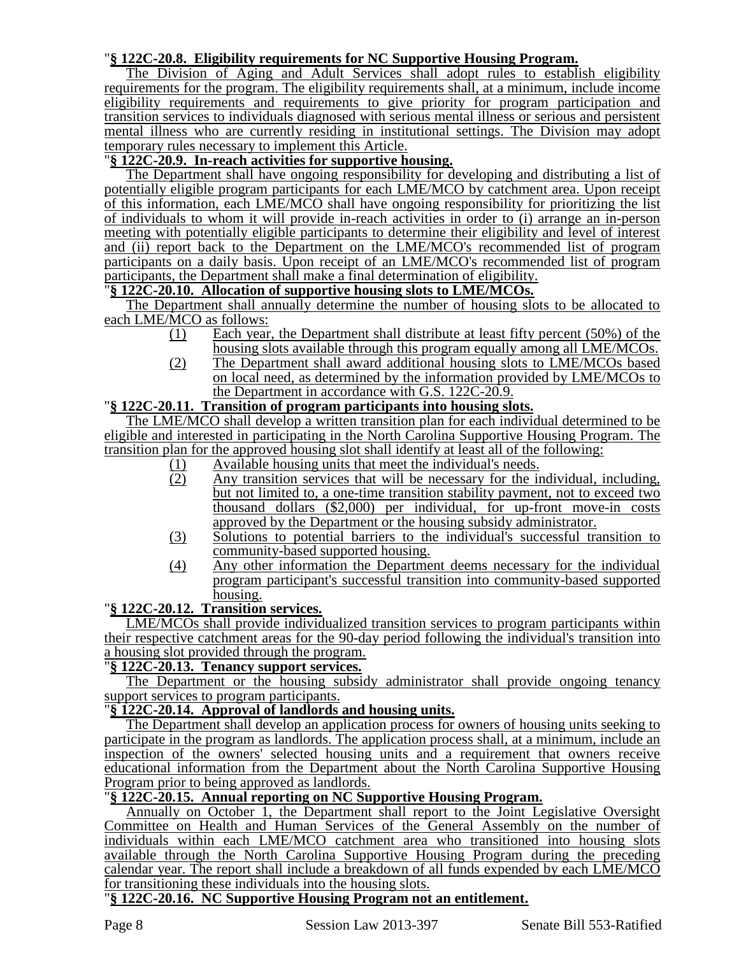## "**§ 122C-20.8. Eligibility requirements for NC Supportive Housing Program.**

The Division of Aging and Adult Services shall adopt rules to establish eligibility requirements for the program. The eligibility requirements shall, at a minimum, include income eligibility requirements and requirements to give priority for program participation and transition services to individuals diagnosed with serious mental illness or serious and persistent mental illness who are currently residing in institutional settings. The Division may adopt temporary rules necessary to implement this Article.

# "**§ 122C-20.9. In-reach activities for supportive housing.**

The Department shall have ongoing responsibility for developing and distributing a list of potentially eligible program participants for each LME/MCO by catchment area. Upon receipt of this information, each LME/MCO shall have ongoing responsibility for prioritizing the list of individuals to whom it will provide in-reach activities in order to (i) arrange an in-person meeting with potentially eligible participants to determine their eligibility and level of interest and (ii) report back to the Department on the LME/MCO's recommended list of program participants on a daily basis. Upon receipt of an LME/MCO's recommended list of program participants, the Department shall make a final determination of eligibility.

## "**§ 122C-20.10. Allocation of supportive housing slots to LME/MCOs.**

The Department shall annually determine the number of housing slots to be allocated to each LME/MCO as follows:

- (1) Each year, the Department shall distribute at least fifty percent (50%) of the housing slots available through this program equally among all LME/MCOs.
- (2) The Department shall award additional housing slots to LME/MCOs based on local need, as determined by the information provided by LME/MCOs to the Department in accordance with G.S. 122C-20.9.

### "**§ 122C-20.11. Transition of program participants into housing slots.**

The LME/MCO shall develop a written transition plan for each individual determined to be eligible and interested in participating in the North Carolina Supportive Housing Program. The transition plan for the approved housing slot shall identify at least all of the following:<br>  $\frac{(1)}{(2)}$  Available housing units that meet the individual's needs.<br>  $\frac{(2)}{(2)}$  Any transition services that will be necessary

- Available housing units that meet the individual's needs.
- Any transition services that will be necessary for the individual, including, but not limited to, a one-time transition stability payment, not to exceed two thousand dollars (\$2,000) per individual, for up-front move-in costs approved by the Department or the housing subsidy administrator.
- (3) Solutions to potential barriers to the individual's successful transition to community-based supported housing.
- (4) Any other information the Department deems necessary for the individual program participant's successful transition into community-based supported housing.

#### "**§ 122C-20.12. Transition services.**

LME/MCOs shall provide individualized transition services to program participants within their respective catchment areas for the 90-day period following the individual's transition into a housing slot provided through the program.

## "**§ 122C-20.13. Tenancy support services.**

The Department or the housing subsidy administrator shall provide ongoing tenancy support services to program participants.

## "**§ 122C-20.14. Approval of landlords and housing units.**

The Department shall develop an application process for owners of housing units seeking to participate in the program as landlords. The application process shall, at a minimum, include an inspection of the owners' selected housing units and a requirement that owners receive educational information from the Department about the North Carolina Supportive Housing Program prior to being approved as landlords.

## "**§ 122C-20.15. Annual reporting on NC Supportive Housing Program.**

Annually on October 1, the Department shall report to the Joint Legislative Oversight Committee on Health and Human Services of the General Assembly on the number of individuals within each LME/MCO catchment area who transitioned into housing slots available through the North Carolina Supportive Housing Program during the preceding calendar year. The report shall include a breakdown of all funds expended by each LME/MCO for transitioning these individuals into the housing slots.

### "**§ 122C-20.16. NC Supportive Housing Program not an entitlement.**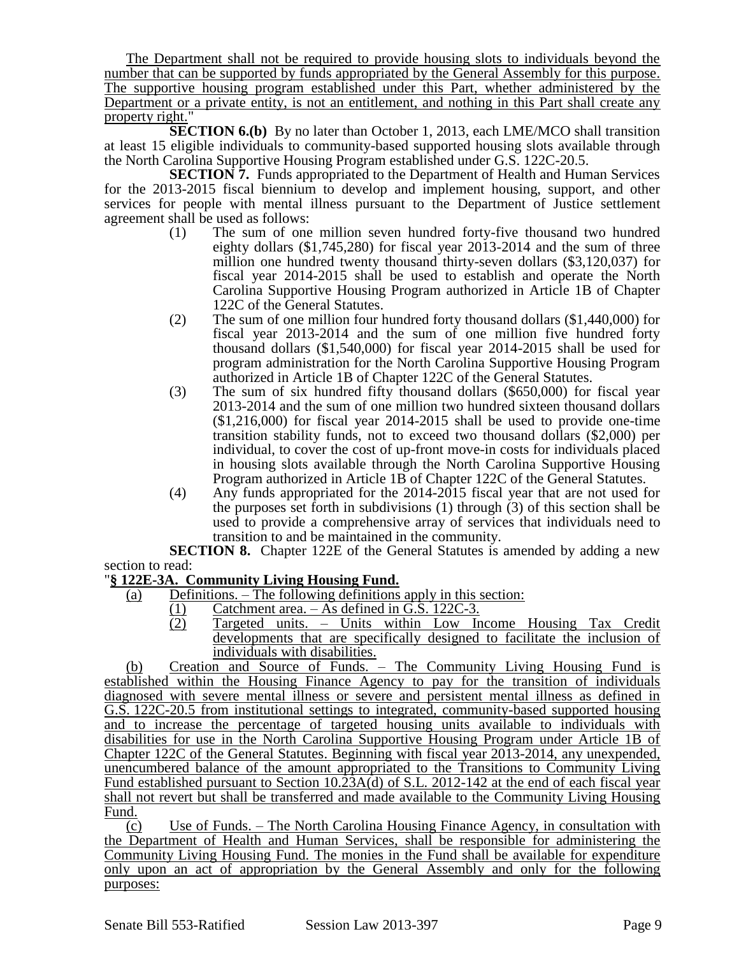The Department shall not be required to provide housing slots to individuals beyond the number that can be supported by funds appropriated by the General Assembly for this purpose. The supportive housing program established under this Part, whether administered by the Department or a private entity, is not an entitlement, and nothing in this Part shall create any property right."

**SECTION 6.(b)** By no later than October 1, 2013, each LME/MCO shall transition at least 15 eligible individuals to community-based supported housing slots available through the North Carolina Supportive Housing Program established under G.S. 122C-20.5.

**SECTION 7.** Funds appropriated to the Department of Health and Human Services for the 2013-2015 fiscal biennium to develop and implement housing, support, and other services for people with mental illness pursuant to the Department of Justice settlement agreement shall be used as follows:

- (1) The sum of one million seven hundred forty-five thousand two hundred eighty dollars (\$1,745,280) for fiscal year 2013-2014 and the sum of three million one hundred twenty thousand thirty-seven dollars (\$3,120,037) for fiscal year 2014-2015 shall be used to establish and operate the North Carolina Supportive Housing Program authorized in Article 1B of Chapter 122C of the General Statutes.
- (2) The sum of one million four hundred forty thousand dollars (\$1,440,000) for fiscal year 2013-2014 and the sum of one million five hundred forty thousand dollars (\$1,540,000) for fiscal year 2014-2015 shall be used for program administration for the North Carolina Supportive Housing Program authorized in Article 1B of Chapter 122C of the General Statutes.
- (3) The sum of six hundred fifty thousand dollars (\$650,000) for fiscal year 2013-2014 and the sum of one million two hundred sixteen thousand dollars (\$1,216,000) for fiscal year 2014-2015 shall be used to provide one-time transition stability funds, not to exceed two thousand dollars (\$2,000) per individual, to cover the cost of up-front move-in costs for individuals placed in housing slots available through the North Carolina Supportive Housing Program authorized in Article 1B of Chapter 122C of the General Statutes.
- (4) Any funds appropriated for the 2014-2015 fiscal year that are not used for the purposes set forth in subdivisions (1) through (3) of this section shall be used to provide a comprehensive array of services that individuals need to transition to and be maintained in the community.

**SECTION 8.** Chapter 122E of the General Statutes is amended by adding a new section to read:

# "**§ 122E-3A. Community Living Housing Fund.**

- (a) Definitions. The following definitions apply in this section:
	- (1) Catchment area. As defined in G.S. 122C-3.<br>
	(2) Targeted units. Units within Low In
		- (2) Targeted units. Units within Low Income Housing Tax Credit developments that are specifically designed to facilitate the inclusion of individuals with disabilities.

(b) Creation and Source of Funds. – The Community Living Housing Fund is established within the Housing Finance Agency to pay for the transition of individuals diagnosed with severe mental illness or severe and persistent mental illness as defined in G.S. 122C-20.5 from institutional settings to integrated, community-based supported housing and to increase the percentage of targeted housing units available to individuals with disabilities for use in the North Carolina Supportive Housing Program under Article 1B of Chapter 122C of the General Statutes. Beginning with fiscal year 2013-2014, any unexpended, unencumbered balance of the amount appropriated to the Transitions to Community Living Fund established pursuant to Section  $10.\overline{23}A(d)$  of S.L. 2012-142 at the end of each fiscal year shall not revert but shall be transferred and made available to the Community Living Housing Fund.

(c) Use of Funds. – The North Carolina Housing Finance Agency, in consultation with the Department of Health and Human Services, shall be responsible for administering the Community Living Housing Fund. The monies in the Fund shall be available for expenditure only upon an act of appropriation by the General Assembly and only for the following purposes: